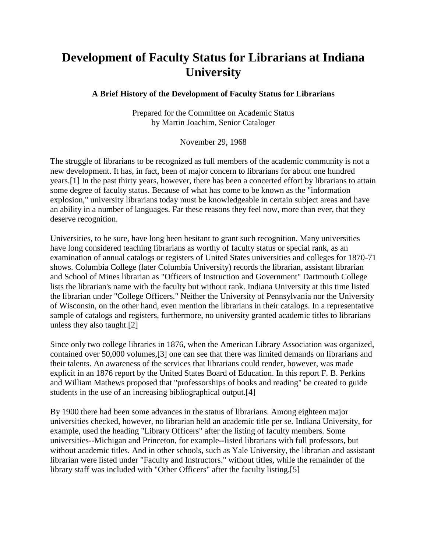## **Development of Faculty Status for Librarians at Indiana University**

## **A Brief History of the Development of Faculty Status for Librarians**

Prepared for the Committee on Academic Status by Martin Joachim, Senior Cataloger

November 29, 1968

The struggle of librarians to be recognized as full members of the academic community is not a new development. It has, in fact, been of major concern to librarians for about one hundred years.[1] In the past thirty years, however, there has been a concerted effort by librarians to attain some degree of faculty status. Because of what has come to be known as the "information explosion," university librarians today must be knowledgeable in certain subject areas and have an ability in a number of languages. Far these reasons they feel now, more than ever, that they deserve recognition.

Universities, to be sure, have long been hesitant to grant such recognition. Many universities have long considered teaching librarians as worthy of faculty status or special rank, as an examination of annual catalogs or registers of United States universities and colleges for 1870-71 shows. Columbia College (later Columbia University) records the librarian, assistant librarian and School of Mines librarian as "Officers of Instruction and Government" Dartmouth College lists the librarian's name with the faculty but without rank. Indiana University at this time listed the librarian under "College Officers." Neither the University of Pennsylvania nor the University of Wisconsin, on the other hand, even mention the librarians in their catalogs. In a representative sample of catalogs and registers, furthermore, no university granted academic titles to librarians unless they also taught.[2]

Since only two college libraries in 1876, when the American Library Association was organized, contained over 50,000 volumes,[3] one can see that there was limited demands on librarians and their talents. An awareness of the services that librarians could render, however, was made explicit in an 1876 report by the United States Board of Education. In this report F. B. Perkins and William Mathews proposed that "professorships of books and reading" be created to guide students in the use of an increasing bibliographical output.[4]

By 1900 there had been some advances in the status of librarians. Among eighteen major universities checked, however, no librarian held an academic title per se. Indiana University, for example, used the heading "Library Officers" after the listing of faculty members. Some universities--Michigan and Princeton, for example--listed librarians with full professors, but without academic titles. And in other schools, such as Yale University, the librarian and assistant librarian were listed under "Faculty and Instructors." without titles, while the remainder of the library staff was included with "Other Officers" after the faculty listing.[5]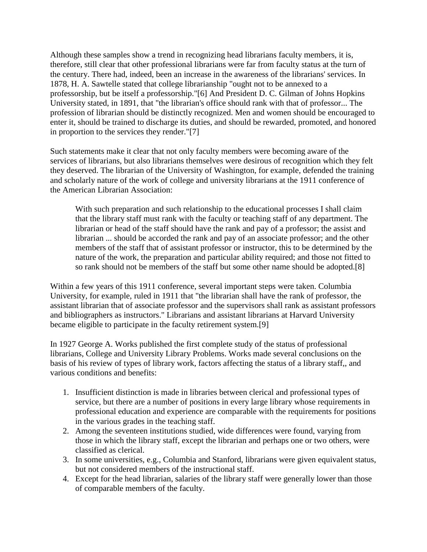Although these samples show a trend in recognizing head librarians faculty members, it is, therefore, still clear that other professional librarians were far from faculty status at the turn of the century. There had, indeed, been an increase in the awareness of the librarians' services. In 1878, H. A. Sawtelle stated that college librarianship "ought not to be annexed to a professorship, but be itself a professorship."[6] And President D. C. Gilman of Johns Hopkins University stated, in 1891, that "the librarian's office should rank with that of professor... The profession of librarian should be distinctly recognized. Men and women should be encouraged to enter it, should be trained to discharge its duties, and should be rewarded, promoted, and honored in proportion to the services they render."[7]

Such statements make it clear that not only faculty members were becoming aware of the services of librarians, but also librarians themselves were desirous of recognition which they felt they deserved. The librarian of the University of Washington, for example, defended the training and scholarly nature of the work of college and university librarians at the 1911 conference of the American Librarian Association:

With such preparation and such relationship to the educational processes I shall claim that the library staff must rank with the faculty or teaching staff of any department. The librarian or head of the staff should have the rank and pay of a professor; the assist and librarian ... should be accorded the rank and pay of an associate professor; and the other members of the staff that of assistant professor or instructor, this to be determined by the nature of the work, the preparation and particular ability required; and those not fitted to so rank should not be members of the staff but some other name should be adopted.[8]

Within a few years of this 1911 conference, several important steps were taken. Columbia University, for example, ruled in 1911 that "the librarian shall have the rank of professor, the assistant librarian that of associate professor and the supervisors shall rank as assistant professors and bibliographers as instructors." Librarians and assistant librarians at Harvard University became eligible to participate in the faculty retirement system.[9]

In 1927 George A. Works published the first complete study of the status of professional librarians, College and University Library Problems. Works made several conclusions on the basis of his review of types of library work, factors affecting the status of a library staff,, and various conditions and benefits:

- 1. Insufficient distinction is made in libraries between clerical and professional types of service, but there are a number of positions in every large library whose requirements in professional education and experience are comparable with the requirements for positions in the various grades in the teaching staff.
- 2. Among the seventeen institutions studied, wide differences were found, varying from those in which the library staff, except the librarian and perhaps one or two others, were classified as clerical.
- 3. In some universities, e.g., Columbia and Stanford, librarians were given equivalent status, but not considered members of the instructional staff.
- 4. Except for the head librarian, salaries of the library staff were generally lower than those of comparable members of the faculty.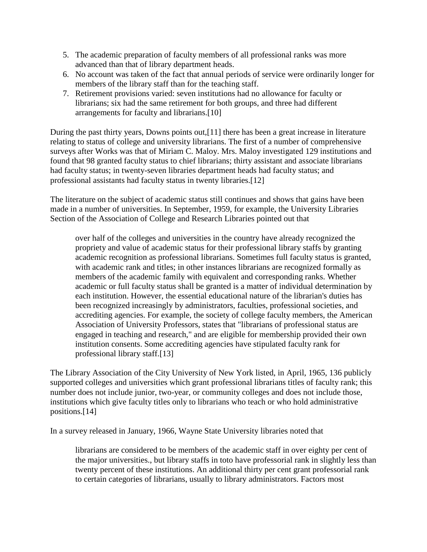- 5. The academic preparation of faculty members of all professional ranks was more advanced than that of library department heads.
- 6. No account was taken of the fact that annual periods of service were ordinarily longer for members of the library staff than for the teaching staff.
- 7. Retirement provisions varied: seven institutions had no allowance for faculty or librarians; six had the same retirement for both groups, and three had different arrangements for faculty and librarians.[10]

During the past thirty years, Downs points out,[11] there has been a great increase in literature relating to status of college and university librarians. The first of a number of comprehensive surveys after Works was that of Miriam C. Maloy. Mrs. Maloy investigated 129 institutions and found that 98 granted faculty status to chief librarians; thirty assistant and associate librarians had faculty status; in twenty-seven libraries department heads had faculty status; and professional assistants had faculty status in twenty libraries.[12]

The literature on the subject of academic status still continues and shows that gains have been made in a number of universities. In September, 1959, for example, the University Libraries Section of the Association of College and Research Libraries pointed out that

over half of the colleges and universities in the country have already recognized the propriety and value of academic status for their professional library staffs by granting academic recognition as professional librarians. Sometimes full faculty status is granted, with academic rank and titles; in other instances librarians are recognized formally as members of the academic family with equivalent and corresponding ranks. Whether academic or full faculty status shall be granted is a matter of individual determination by each institution. However, the essential educational nature of the librarian's duties has been recognized increasingly by administrators, faculties, professional societies, and accrediting agencies. For example, the society of college faculty members, the American Association of University Professors, states that "librarians of professional status are engaged in teaching and research," and are eligible for membership provided their own institution consents. Some accrediting agencies have stipulated faculty rank for professional library staff.[13]

The Library Association of the City University of New York listed, in April, 1965, 136 publicly supported colleges and universities which grant professional librarians titles of faculty rank; this number does not include junior, two-year, or community colleges and does not include those, institutions which give faculty titles only to librarians who teach or who hold administrative positions.[14]

In a survey released in January, 1966, Wayne State University libraries noted that

librarians are considered to be members of the academic staff in over eighty per cent of the major universities., but library staffs in toto have professorial rank in slightly less than twenty percent of these institutions. An additional thirty per cent grant professorial rank to certain categories of librarians, usually to library administrators. Factors most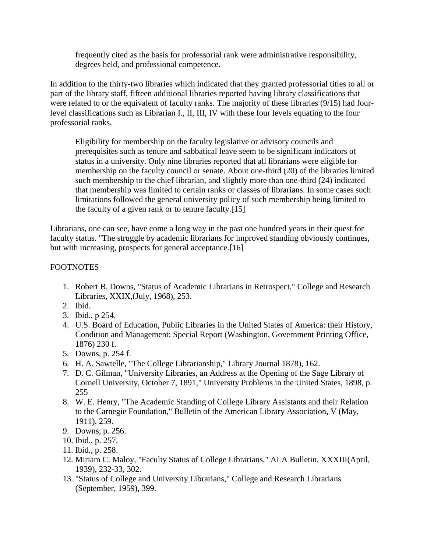frequently cited as the basis for professorial rank were administrative responsibility, degrees held, and professional competence.

In addition to the thirty-two libraries which indicated that they granted professorial titles to all or part of the library staff, fifteen additional libraries reported having library classifications that were related to or the equivalent of faculty ranks. The majority of these libraries (9/15) had fourlevel classifications such as Librarian I., II, III, IV with these four levels equating to the four professorial ranks.

Eligibility for membership on the faculty legislative or advisory councils and prerequisites such as tenure and sabbatical leave seem to be significant indicators of status in a university. Only nine libraries reported that all librarians were eligible for membership on the faculty council or senate. About one-third (20) of the libraries limited such membership to the chief librarian, and slightly more than one-third (24) indicated that membership was limited to certain ranks or classes of librarians. In some cases such limitations followed the general university policy of such membership being limited to the faculty of a given rank or to tenure faculty.[15]

Librarians, one can see, have come a long way in the past one hundred years in their quest for faculty status. "The struggle by academic librarians for improved standing obviously continues, but with increasing, prospects for general acceptance.<sup>[16]</sup>

## FOOTNOTES

- 1. Robert B. Downs, "Status of Academic Librarians in Retrospect," College and Research Libraries, XXIX,(July, 1968), 253.
- 2. Ibid.
- 3. Ibid., p 254.
- 4. U.S. Board of Education, Public Libraries in the United States of America: their History, Condition and Management: Special Report (Washington, Government Printing Office, 1876) 230 f.
- 5. Downs, p. 254 f.
- 6. H. A. Sawtelle, "The College Librarianship," Library Journal 1878), 162.
- 7. D. C. Gilman, "University Libraries, an Address at the Opening of the Sage Library of Cornell University, October 7, 1891," University Problems in the United States, 1898, p. 255
- 8. W. E. Henry, "The Academic Standing of College Library Assistants and their Relation to the Carnegie Foundation," Bulletin of the American Library Association, V (May, 1911), 259.
- 9. Downs, p. 256.
- 10. Ibid., p. 257.
- 11. Ibid., p. 258.
- 12. Miriam C. Maloy, "Faculty Status of College Librarians," ALA Bulletin, XXXIII(April, 1939), 232-33, 302.
- 13. "Status of College and University Librarians," College and Research Librarians (September, 1959), 399.